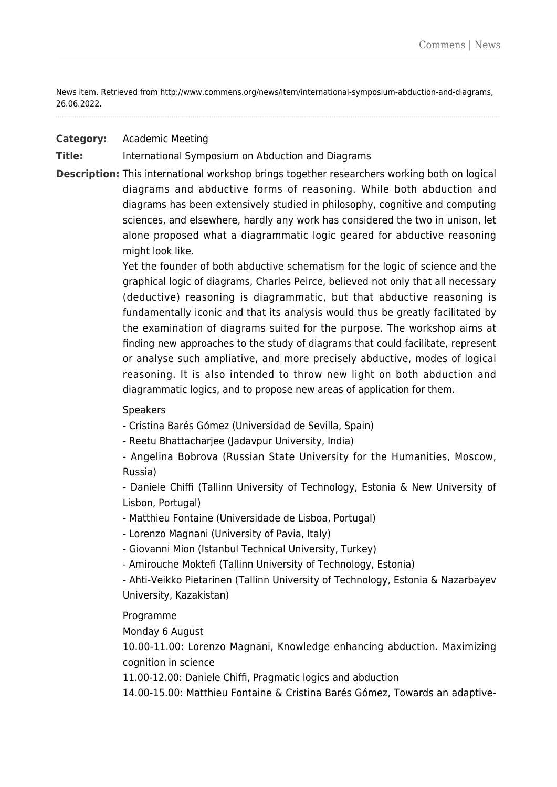News item. Retrieved from http://www.commens.org/news/item/international-symposium-abduction-and-diagrams, 26.06.2022.

## **Category:** Academic Meeting

**Title:** International Symposium on Abduction and Diagrams

**Description:** This international workshop brings together researchers working both on logical diagrams and abductive forms of reasoning. While both abduction and diagrams has been extensively studied in philosophy, cognitive and computing sciences, and elsewhere, hardly any work has considered the two in unison, let alone proposed what a diagrammatic logic geared for abductive reasoning might look like.

> Yet the founder of both abductive schematism for the logic of science and the graphical logic of diagrams, Charles Peirce, believed not only that all necessary (deductive) reasoning is diagrammatic, but that abductive reasoning is fundamentally iconic and that its analysis would thus be greatly facilitated by the examination of diagrams suited for the purpose. The workshop aims at finding new approaches to the study of diagrams that could facilitate, represent or analyse such ampliative, and more precisely abductive, modes of logical reasoning. It is also intended to throw new light on both abduction and diagrammatic logics, and to propose new areas of application for them.

Speakers

- Cristina Barés Gómez (Universidad de Sevilla, Spain)

- Reetu Bhattacharjee (Jadavpur University, India)

- Angelina Bobrova (Russian State University for the Humanities, Moscow, Russia)

- Daniele Chiffi (Tallinn University of Technology, Estonia & New University of Lisbon, Portugal)

- Matthieu Fontaine (Universidade de Lisboa, Portugal)

- Lorenzo Magnani (University of Pavia, Italy)

- Giovanni Mion (Istanbul Technical University, Turkey)

- Amirouche Moktefi (Tallinn University of Technology, Estonia)

- Ahti-Veikko Pietarinen (Tallinn University of Technology, Estonia & Nazarbayev University, Kazakistan)

Programme

Monday 6 August

10.00-11.00: Lorenzo Magnani, Knowledge enhancing abduction. Maximizing cognition in science

11.00-12.00: Daniele Chiffi, Pragmatic logics and abduction

14.00-15.00: Matthieu Fontaine & Cristina Barés Gómez, Towards an adaptive-